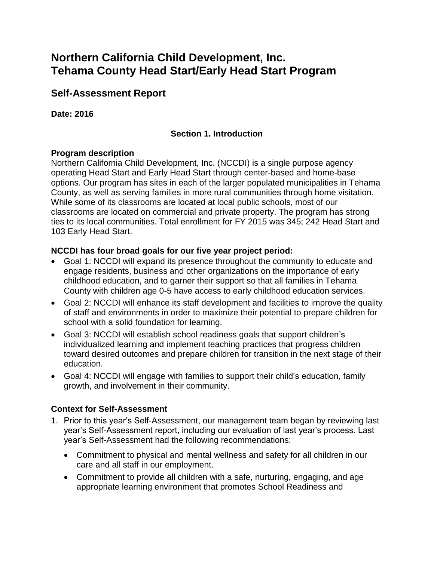# **Northern California Child Development, Inc. Tehama County Head Start/Early Head Start Program**

# **Self-Assessment Report**

### **Date: 2016**

## **Section 1. Introduction**

### **Program description**

Northern California Child Development, Inc. (NCCDI) is a single purpose agency operating Head Start and Early Head Start through center-based and home-base options. Our program has sites in each of the larger populated municipalities in Tehama County, as well as serving families in more rural communities through home visitation. While some of its classrooms are located at local public schools, most of our classrooms are located on commercial and private property. The program has strong ties to its local communities. Total enrollment for FY 2015 was 345; 242 Head Start and 103 Early Head Start.

### **NCCDI has four broad goals for our five year project period:**

- Goal 1: NCCDI will expand its presence throughout the community to educate and engage residents, business and other organizations on the importance of early childhood education, and to garner their support so that all families in Tehama County with children age 0-5 have access to early childhood education services.
- Goal 2: NCCDI will enhance its staff development and facilities to improve the quality of staff and environments in order to maximize their potential to prepare children for school with a solid foundation for learning.
- Goal 3: NCCDI will establish school readiness goals that support children's individualized learning and implement teaching practices that progress children toward desired outcomes and prepare children for transition in the next stage of their education.
- Goal 4: NCCDI will engage with families to support their child's education, family growth, and involvement in their community.

### **Context for Self-Assessment**

- 1. Prior to this year's Self-Assessment, our management team began by reviewing last year's Self-Assessment report, including our evaluation of last year's process. Last year's Self-Assessment had the following recommendations:
	- Commitment to physical and mental wellness and safety for all children in our care and all staff in our employment.
	- Commitment to provide all children with a safe, nurturing, engaging, and age appropriate learning environment that promotes School Readiness and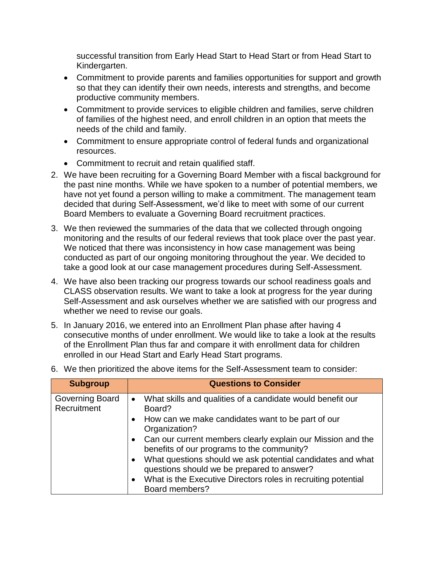successful transition from Early Head Start to Head Start or from Head Start to Kindergarten.

- Commitment to provide parents and families opportunities for support and growth so that they can identify their own needs, interests and strengths, and become productive community members.
- Commitment to provide services to eligible children and families, serve children of families of the highest need, and enroll children in an option that meets the needs of the child and family.
- Commitment to ensure appropriate control of federal funds and organizational resources.
- Commitment to recruit and retain qualified staff.
- 2. We have been recruiting for a Governing Board Member with a fiscal background for the past nine months. While we have spoken to a number of potential members, we have not yet found a person willing to make a commitment. The management team decided that during Self-Assessment, we'd like to meet with some of our current Board Members to evaluate a Governing Board recruitment practices.
- 3. We then reviewed the summaries of the data that we collected through ongoing monitoring and the results of our federal reviews that took place over the past year. We noticed that there was inconsistency in how case management was being conducted as part of our ongoing monitoring throughout the year. We decided to take a good look at our case management procedures during Self-Assessment.
- 4. We have also been tracking our progress towards our school readiness goals and CLASS observation results. We want to take a look at progress for the year during Self-Assessment and ask ourselves whether we are satisfied with our progress and whether we need to revise our goals.
- 5. In January 2016, we entered into an Enrollment Plan phase after having 4 consecutive months of under enrollment. We would like to take a look at the results of the Enrollment Plan thus far and compare it with enrollment data for children enrolled in our Head Start and Early Head Start programs.

| <b>Subgroup</b>                       | <b>Questions to Consider</b>                                                                                          |
|---------------------------------------|-----------------------------------------------------------------------------------------------------------------------|
| <b>Governing Board</b><br>Recruitment | What skills and qualities of a candidate would benefit our<br>$\bullet$<br>Board?                                     |
|                                       | How can we make candidates want to be part of our<br>$\bullet$<br>Organization?                                       |
|                                       | • Can our current members clearly explain our Mission and the<br>benefits of our programs to the community?           |
|                                       | What questions should we ask potential candidates and what<br>$\bullet$<br>questions should we be prepared to answer? |
|                                       | What is the Executive Directors roles in recruiting potential<br>$\bullet$<br>Board members?                          |

6. We then prioritized the above items for the Self-Assessment team to consider: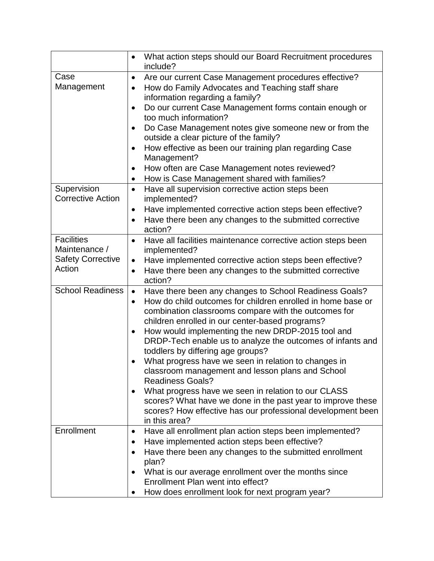|                                         | What action steps should our Board Recruitment procedures<br>$\bullet$<br>include?                           |  |
|-----------------------------------------|--------------------------------------------------------------------------------------------------------------|--|
| Case                                    | Are our current Case Management procedures effective?<br>$\bullet$                                           |  |
| Management                              | How do Family Advocates and Teaching staff share<br>$\bullet$                                                |  |
|                                         | information regarding a family?                                                                              |  |
|                                         | Do our current Case Management forms contain enough or<br>$\bullet$                                          |  |
|                                         | too much information?                                                                                        |  |
|                                         | Do Case Management notes give someone new or from the<br>$\bullet$<br>outside a clear picture of the family? |  |
|                                         | How effective as been our training plan regarding Case<br>$\bullet$<br>Management?                           |  |
|                                         | How often are Case Management notes reviewed?<br>$\bullet$                                                   |  |
|                                         |                                                                                                              |  |
|                                         | How is Case Management shared with families?<br>$\bullet$                                                    |  |
| Supervision<br><b>Corrective Action</b> | Have all supervision corrective action steps been<br>$\bullet$<br>implemented?                               |  |
|                                         | Have implemented corrective action steps been effective?<br>$\bullet$                                        |  |
|                                         | Have there been any changes to the submitted corrective<br>$\bullet$                                         |  |
|                                         | action?                                                                                                      |  |
| <b>Facilities</b>                       | Have all facilities maintenance corrective action steps been<br>$\bullet$                                    |  |
| Maintenance /                           | implemented?                                                                                                 |  |
| <b>Safety Corrective</b>                | Have implemented corrective action steps been effective?<br>$\bullet$                                        |  |
| Action                                  | Have there been any changes to the submitted corrective<br>$\bullet$                                         |  |
|                                         | action?                                                                                                      |  |
| <b>School Readiness</b>                 | Have there been any changes to School Readiness Goals?<br>$\bullet$                                          |  |
|                                         | How do child outcomes for children enrolled in home base or<br>$\bullet$                                     |  |
|                                         | combination classrooms compare with the outcomes for                                                         |  |
|                                         | children enrolled in our center-based programs?                                                              |  |
|                                         | How would implementing the new DRDP-2015 tool and<br>$\bullet$                                               |  |
|                                         | DRDP-Tech enable us to analyze the outcomes of infants and                                                   |  |
|                                         | toddlers by differing age groups?                                                                            |  |
|                                         | What progress have we seen in relation to changes in<br>$\bullet$                                            |  |
|                                         | classroom management and lesson plans and School                                                             |  |
|                                         | <b>Readiness Goals?</b>                                                                                      |  |
|                                         | What progress have we seen in relation to our CLASS<br>$\bullet$                                             |  |
|                                         | scores? What have we done in the past year to improve these                                                  |  |
|                                         | scores? How effective has our professional development been                                                  |  |
|                                         | in this area?                                                                                                |  |
| Enrollment                              | Have all enrollment plan action steps been implemented?<br>$\bullet$                                         |  |
|                                         | Have implemented action steps been effective?<br>$\bullet$                                                   |  |
|                                         | Have there been any changes to the submitted enrollment<br>$\bullet$                                         |  |
|                                         | plan?                                                                                                        |  |
|                                         | What is our average enrollment over the months since<br>$\bullet$                                            |  |
|                                         | Enrollment Plan went into effect?                                                                            |  |
|                                         | How does enrollment look for next program year?                                                              |  |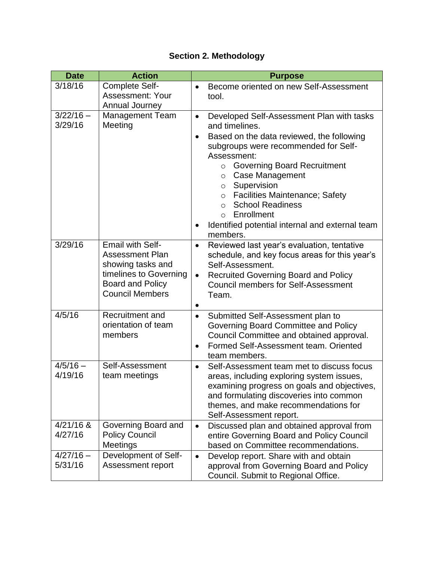# **Section 2. Methodology**

| <b>Date</b>            | <b>Action</b>                                                                                                                                         | <b>Purpose</b>                                                                                                                                                                                                                                                                                                                                                                                                                                                         |
|------------------------|-------------------------------------------------------------------------------------------------------------------------------------------------------|------------------------------------------------------------------------------------------------------------------------------------------------------------------------------------------------------------------------------------------------------------------------------------------------------------------------------------------------------------------------------------------------------------------------------------------------------------------------|
| 3/18/16                | Complete Self-<br><b>Assessment: Your</b><br>Annual Journey                                                                                           | Become oriented on new Self-Assessment<br>tool.                                                                                                                                                                                                                                                                                                                                                                                                                        |
| $3/22/16 -$<br>3/29/16 | <b>Management Team</b><br>Meeting                                                                                                                     | Developed Self-Assessment Plan with tasks<br>$\bullet$<br>and timelines.<br>Based on the data reviewed, the following<br>$\bullet$<br>subgroups were recommended for Self-<br>Assessment:<br>○ Governing Board Recruitment<br>Case Management<br>$\circ$<br>Supervision<br>$\circ$<br><b>Facilities Maintenance; Safety</b><br>$\circ$<br><b>School Readiness</b><br>$\Omega$<br>Enrollment<br>$\Omega$<br>Identified potential internal and external team<br>members. |
| 3/29/16                | <b>Email with Self-</b><br><b>Assessment Plan</b><br>showing tasks and<br>timelines to Governing<br><b>Board and Policy</b><br><b>Council Members</b> | Reviewed last year's evaluation, tentative<br>$\bullet$<br>schedule, and key focus areas for this year's<br>Self-Assessment.<br><b>Recruited Governing Board and Policy</b><br>$\bullet$<br><b>Council members for Self-Assessment</b><br>Team.                                                                                                                                                                                                                        |
| 4/5/16                 | Recruitment and<br>orientation of team<br>members                                                                                                     | Submitted Self-Assessment plan to<br>$\bullet$<br>Governing Board Committee and Policy<br>Council Committee and obtained approval.<br>Formed Self-Assessment team, Oriented<br>team members.                                                                                                                                                                                                                                                                           |
| $4/5/16 -$<br>4/19/16  | Self-Assessment<br>team meetings                                                                                                                      | Self-Assessment team met to discuss focus<br>$\bullet$<br>areas, including exploring system issues,<br>examining progress on goals and objectives,<br>and formulating discoveries into common<br>themes, and make recommendations for<br>Self-Assessment report.                                                                                                                                                                                                       |
| $4/21/16$ &<br>4/27/16 | Governing Board and<br><b>Policy Council</b><br>Meetings                                                                                              | Discussed plan and obtained approval from<br>$\bullet$<br>entire Governing Board and Policy Council<br>based on Committee recommendations.                                                                                                                                                                                                                                                                                                                             |
| $4/27/16 -$<br>5/31/16 | Development of Self-<br>Assessment report                                                                                                             | Develop report. Share with and obtain<br>$\bullet$<br>approval from Governing Board and Policy<br>Council. Submit to Regional Office.                                                                                                                                                                                                                                                                                                                                  |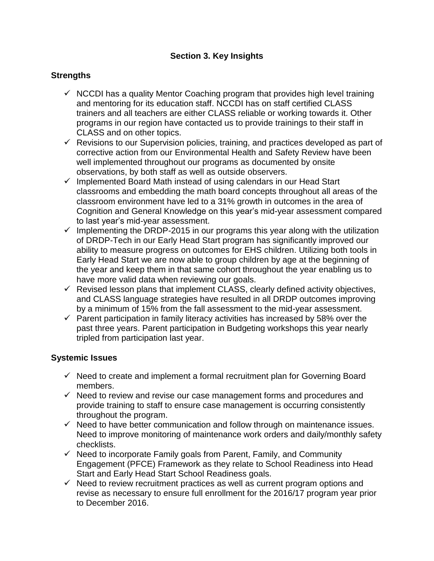## **Section 3. Key Insights**

### **Strengths**

- $\checkmark$  NCCDI has a quality Mentor Coaching program that provides high level training and mentoring for its education staff. NCCDI has on staff certified CLASS trainers and all teachers are either CLASS reliable or working towards it. Other programs in our region have contacted us to provide trainings to their staff in CLASS and on other topics.
- $\checkmark$  Revisions to our Supervision policies, training, and practices developed as part of corrective action from our Environmental Health and Safety Review have been well implemented throughout our programs as documented by onsite observations, by both staff as well as outside observers.
- $\checkmark$  Implemented Board Math instead of using calendars in our Head Start classrooms and embedding the math board concepts throughout all areas of the classroom environment have led to a 31% growth in outcomes in the area of Cognition and General Knowledge on this year's mid-year assessment compared to last year's mid-year assessment.
- $\checkmark$  Implementing the DRDP-2015 in our programs this year along with the utilization of DRDP-Tech in our Early Head Start program has significantly improved our ability to measure progress on outcomes for EHS children. Utilizing both tools in Early Head Start we are now able to group children by age at the beginning of the year and keep them in that same cohort throughout the year enabling us to have more valid data when reviewing our goals.
- $\checkmark$  Revised lesson plans that implement CLASS, clearly defined activity objectives, and CLASS language strategies have resulted in all DRDP outcomes improving by a minimum of 15% from the fall assessment to the mid-year assessment.
- $\checkmark$  Parent participation in family literacy activities has increased by 58% over the past three years. Parent participation in Budgeting workshops this year nearly tripled from participation last year.

#### **Systemic Issues**

- $\checkmark$  Need to create and implement a formal recruitment plan for Governing Board members.
- $\checkmark$  Need to review and revise our case management forms and procedures and provide training to staff to ensure case management is occurring consistently throughout the program.
- $\checkmark$  Need to have better communication and follow through on maintenance issues. Need to improve monitoring of maintenance work orders and daily/monthly safety checklists.
- $\checkmark$  Need to incorporate Family goals from Parent, Family, and Community Engagement (PFCE) Framework as they relate to School Readiness into Head Start and Early Head Start School Readiness goals.
- $\checkmark$  Need to review recruitment practices as well as current program options and revise as necessary to ensure full enrollment for the 2016/17 program year prior to December 2016.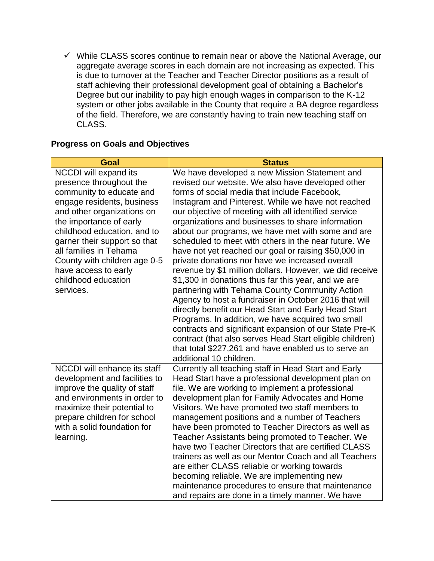$\checkmark$  While CLASS scores continue to remain near or above the National Average, our aggregate average scores in each domain are not increasing as expected. This is due to turnover at the Teacher and Teacher Director positions as a result of staff achieving their professional development goal of obtaining a Bachelor's Degree but our inability to pay high enough wages in comparison to the K-12 system or other jobs available in the County that require a BA degree regardless of the field. Therefore, we are constantly having to train new teaching staff on CLASS.

# **Progress on Goals and Objectives**

| <b>Goal</b>                                                                                                                                                                                                                                                                                                                                              | <b>Status</b>                                                                                                                                                                                                                                                                                                                                                                                                                                                                                                                                                                                                                                                                                                                                                                                                                                                                                                                                                                                                                                                                                    |
|----------------------------------------------------------------------------------------------------------------------------------------------------------------------------------------------------------------------------------------------------------------------------------------------------------------------------------------------------------|--------------------------------------------------------------------------------------------------------------------------------------------------------------------------------------------------------------------------------------------------------------------------------------------------------------------------------------------------------------------------------------------------------------------------------------------------------------------------------------------------------------------------------------------------------------------------------------------------------------------------------------------------------------------------------------------------------------------------------------------------------------------------------------------------------------------------------------------------------------------------------------------------------------------------------------------------------------------------------------------------------------------------------------------------------------------------------------------------|
| NCCDI will expand its<br>presence throughout the<br>community to educate and<br>engage residents, business<br>and other organizations on<br>the importance of early<br>childhood education, and to<br>garner their support so that<br>all families in Tehama<br>County with children age 0-5<br>have access to early<br>childhood education<br>services. | We have developed a new Mission Statement and<br>revised our website. We also have developed other<br>forms of social media that include Facebook,<br>Instagram and Pinterest. While we have not reached<br>our objective of meeting with all identified service<br>organizations and businesses to share information<br>about our programs, we have met with some and are<br>scheduled to meet with others in the near future. We<br>have not yet reached our goal or raising \$50,000 in<br>private donations nor have we increased overall<br>revenue by \$1 million dollars. However, we did receive<br>\$1,300 in donations thus far this year, and we are<br>partnering with Tehama County Community Action<br>Agency to host a fundraiser in October 2016 that will<br>directly benefit our Head Start and Early Head Start<br>Programs. In addition, we have acquired two small<br>contracts and significant expansion of our State Pre-K<br>contract (that also serves Head Start eligible children)<br>that total \$227,261 and have enabled us to serve an<br>additional 10 children. |
| NCCDI will enhance its staff<br>development and facilities to<br>improve the quality of staff<br>and environments in order to<br>maximize their potential to<br>prepare children for school<br>with a solid foundation for<br>learning.                                                                                                                  | Currently all teaching staff in Head Start and Early<br>Head Start have a professional development plan on<br>file. We are working to implement a professional<br>development plan for Family Advocates and Home<br>Visitors. We have promoted two staff members to<br>management positions and a number of Teachers<br>have been promoted to Teacher Directors as well as<br>Teacher Assistants being promoted to Teacher. We<br>have two Teacher Directors that are certified CLASS<br>trainers as well as our Mentor Coach and all Teachers<br>are either CLASS reliable or working towards<br>becoming reliable. We are implementing new<br>maintenance procedures to ensure that maintenance<br>and repairs are done in a timely manner. We have                                                                                                                                                                                                                                                                                                                                            |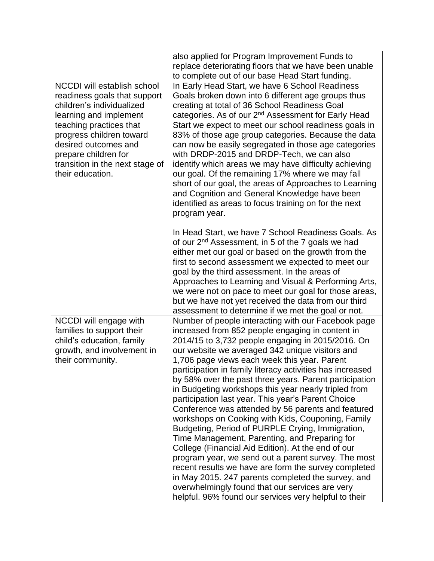|                                                                                                                                                                                                                                                                                         | also applied for Program Improvement Funds to<br>replace deteriorating floors that we have been unable                                                                                                                                                                                                                                                                                                                                                                                                                                                                                                                                                                                                                                                                                                                                                                                                                                                                                                                                                      |
|-----------------------------------------------------------------------------------------------------------------------------------------------------------------------------------------------------------------------------------------------------------------------------------------|-------------------------------------------------------------------------------------------------------------------------------------------------------------------------------------------------------------------------------------------------------------------------------------------------------------------------------------------------------------------------------------------------------------------------------------------------------------------------------------------------------------------------------------------------------------------------------------------------------------------------------------------------------------------------------------------------------------------------------------------------------------------------------------------------------------------------------------------------------------------------------------------------------------------------------------------------------------------------------------------------------------------------------------------------------------|
|                                                                                                                                                                                                                                                                                         |                                                                                                                                                                                                                                                                                                                                                                                                                                                                                                                                                                                                                                                                                                                                                                                                                                                                                                                                                                                                                                                             |
| <b>NCCDI</b> will establish school<br>readiness goals that support<br>children's individualized<br>learning and implement<br>teaching practices that<br>progress children toward<br>desired outcomes and<br>prepare children for<br>transition in the next stage of<br>their education. | to complete out of our base Head Start funding.<br>In Early Head Start, we have 6 School Readiness<br>Goals broken down into 6 different age groups thus<br>creating at total of 36 School Readiness Goal<br>categories. As of our 2 <sup>nd</sup> Assessment for Early Head<br>Start we expect to meet our school readiness goals in<br>83% of those age group categories. Because the data<br>can now be easily segregated in those age categories<br>with DRDP-2015 and DRDP-Tech, we can also<br>identify which areas we may have difficulty achieving<br>our goal. Of the remaining 17% where we may fall<br>short of our goal, the areas of Approaches to Learning<br>and Cognition and General Knowledge have been<br>identified as areas to focus training on for the next                                                                                                                                                                                                                                                                          |
|                                                                                                                                                                                                                                                                                         | program year.<br>In Head Start, we have 7 School Readiness Goals. As<br>of our 2 <sup>nd</sup> Assessment, in 5 of the 7 goals we had<br>either met our goal or based on the growth from the<br>first to second assessment we expected to meet our<br>goal by the third assessment. In the areas of<br>Approaches to Learning and Visual & Performing Arts,<br>we were not on pace to meet our goal for those areas,<br>but we have not yet received the data from our third<br>assessment to determine if we met the goal or not.                                                                                                                                                                                                                                                                                                                                                                                                                                                                                                                          |
| NCCDI will engage with<br>families to support their<br>child's education, family<br>growth, and involvement in<br>their community.                                                                                                                                                      | Number of people interacting with our Facebook page<br>increased from 852 people engaging in content in<br>2014/15 to 3,732 people engaging in 2015/2016. On<br>our website we averaged 342 unique visitors and<br>1,706 page views each week this year. Parent<br>participation in family literacy activities has increased<br>by 58% over the past three years. Parent participation<br>in Budgeting workshops this year nearly tripled from<br>participation last year. This year's Parent Choice<br>Conference was attended by 56 parents and featured<br>workshops on Cooking with Kids, Couponing, Family<br>Budgeting, Period of PURPLE Crying, Immigration,<br>Time Management, Parenting, and Preparing for<br>College (Financial Aid Edition). At the end of our<br>program year, we send out a parent survey. The most<br>recent results we have are form the survey completed<br>in May 2015. 247 parents completed the survey, and<br>overwhelmingly found that our services are very<br>helpful. 96% found our services very helpful to their |